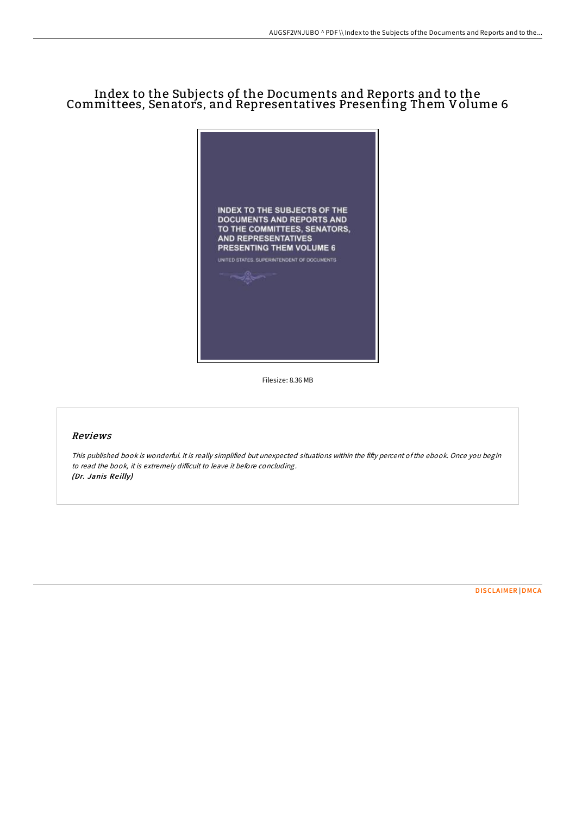## Index to the Subjects of the Documents and Reports and to the Committees, Senators, and Representatives Presenting Them Volume 6



Filesize: 8.36 MB

## Reviews

This published book is wonderful. It is really simplified but unexpected situations within the fifty percent ofthe ebook. Once you begin to read the book, it is extremely difficult to leave it before concluding. (Dr. Janis Reilly)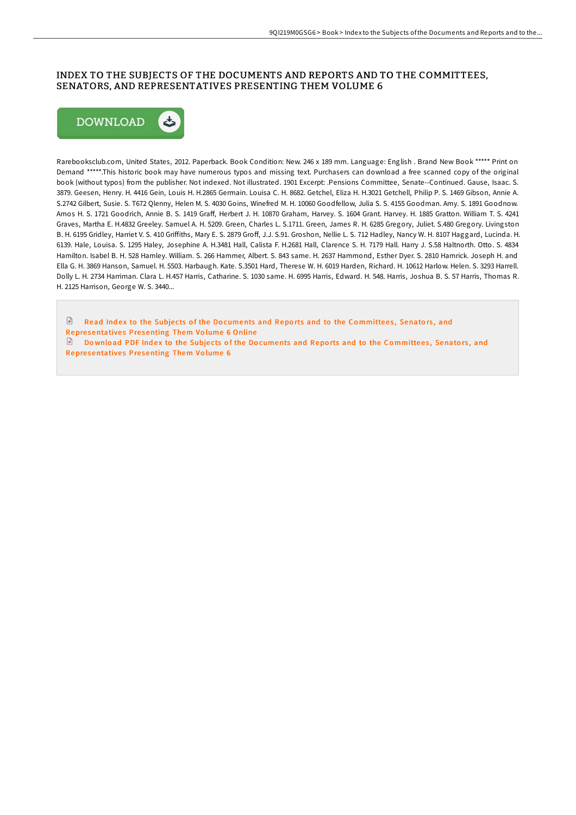## INDEX TO THE SUBJECTS OF THE DOCUMENTS AND REPORTS AND TO THE COMMITTEES, SENATORS, AND REPRESENTATIVES PRESENTING THEM VOLUME 6



Rarebooksclub.com, United States, 2012. Paperback. Book Condition: New. 246 x 189 mm. Language: English . Brand New Book \*\*\*\*\* Print on Demand \*\*\*\*\*.This historic book may have numerous typos and missing text. Purchasers can download a free scanned copy of the original book (without typos) from the publisher. Not indexed. Not illustrated. 1901 Excerpt: .Pensions Committee, Senate--Continued. Gause, Isaac. S. 3879. Geesen, Henry. H. 4416 Gein, Louis H. H.2865 Germain. Louisa C. H. 8682. Getchel, Eliza H. H.3021 Getchell, Philip P. S. 1469 Gibson, Annie A. S.2742 Gilbert, Susie. S. T672 Qlenny, Helen M. S. 4030 Goins, Winefred M. H. 10060 Goodfellow, Julia S. S. 4155 Goodman. Amy. S. 1891 Goodnow. Amos H. S. 1721 Goodrich, Annie B. S. 1419 GraF, Herbert J. H. 10870 Graham, Harvey. S. 1604 Grant. Harvey. H. 1885 Gratton. William T. S. 4241 Graves, Martha E. H.4832 Greeley. Samuel A. H. 5209. Green, Charles L. S.1711. Green, James R. H. 6285 Gregory, Juliet. S.480 Gregory. Livingston B. H. 6195 Gridley, Harriet V. S. 410 GriFiths, Mary E. S. 2879 GroF, J.J. S.91. Groshon, Nellie L. S. 712 Hadley, Nancy W. H. 8107 Haggard, Lucinda. H. 6139. Hale, Louisa. S. 1295 Haley, Josephine A. H.3481 Hall, Calista F. H.2681 Hall, Clarence S. H. 7179 Hall. Harry J. S.58 Haltnorth. Otto. S. 4834 Hamilton. Isabel B. H. 528 Hamley. William. S. 266 Hammer, Albert. S. 843 same. H. 2637 Hammond, Esther Dyer. S. 2810 Hamrick. Joseph H. and Ella G. H. 3869 Hanson, Samuel. H. 5503. Harbaugh. Kate. S.3501 Hard, Therese W. H. 6019 Harden, Richard. H. 10612 Harlow. Helen. S. 3293 Harrell. Dolly L. H. 2734 Harriman. Clara L. H.457 Harris, Catharine. S. 1030 same. H. 6995 Harris, Edward. H. 548. Harris, Joshua B. S. 57 Harris, Thomas R. H. 2125 Harrison, George W. S. 3440...

 $\mathbb{R}$ Read Index to the Subjects of the Documents and Reports and to the Committees, Senators, and Repre[sentative](http://almighty24.tech/index-to-the-subjects-of-the-documents-and-repor-3.html)s Presenting Them Volume 6 Online  $\mathbb{R}$ Download PDF Index to the Subjects of the Documents and Reports and to the Committees, Senators, and Repre[sentative](http://almighty24.tech/index-to-the-subjects-of-the-documents-and-repor-3.html)s Presenting Them Volume 6